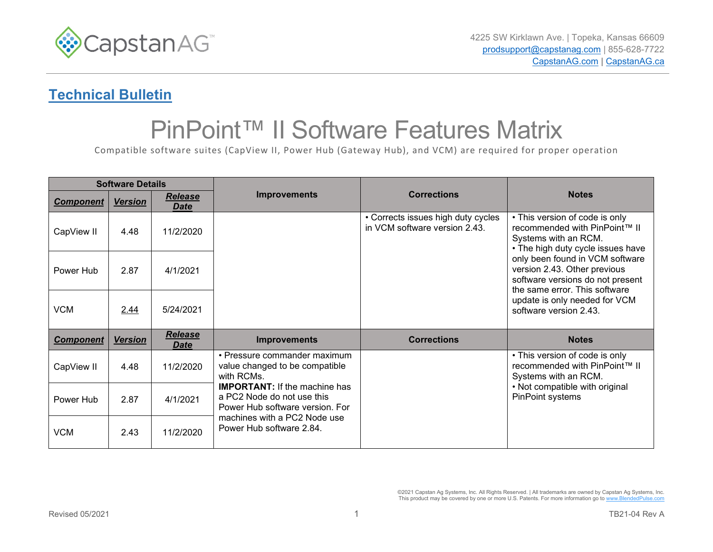

## **Technical Bulletin**

## PinPoint™ II Software Features Matrix

Compatible software suites (CapView II, Power Hub (Gateway Hub), and VCM) are required for proper operation

| <b>Software Details</b> |                |                        |                                                                                                                                                                                                                                                   |                                                                     |                                                                                                                                      |
|-------------------------|----------------|------------------------|---------------------------------------------------------------------------------------------------------------------------------------------------------------------------------------------------------------------------------------------------|---------------------------------------------------------------------|--------------------------------------------------------------------------------------------------------------------------------------|
| <b>Component</b>        | <b>Version</b> | Release<br><b>Date</b> | <b>Improvements</b>                                                                                                                                                                                                                               | <b>Corrections</b>                                                  | <b>Notes</b>                                                                                                                         |
| CapView II              | 4.48           | 11/2/2020              |                                                                                                                                                                                                                                                   | • Corrects issues high duty cycles<br>in VCM software version 2.43. | • This version of code is only<br>recommended with PinPoint™ II<br>Systems with an RCM.<br>• The high duty cycle issues have         |
| Power Hub               | 2.87           | 4/1/2021               |                                                                                                                                                                                                                                                   |                                                                     | only been found in VCM software<br>version 2.43. Other previous<br>software versions do not present<br>the same error. This software |
| <b>VCM</b>              | 2.44           | 5/24/2021              |                                                                                                                                                                                                                                                   |                                                                     | update is only needed for VCM<br>software version 2.43.                                                                              |
| <b>Component</b>        | <b>Version</b> | Release<br><b>Date</b> | <b>Improvements</b>                                                                                                                                                                                                                               | <b>Corrections</b>                                                  | <b>Notes</b>                                                                                                                         |
| CapView II              | 4.48           | 11/2/2020              | • Pressure commander maximum<br>value changed to be compatible<br>with RCMs.<br><b>IMPORTANT:</b> If the machine has<br>a PC2 Node do not use this<br>Power Hub software version. For<br>machines with a PC2 Node use<br>Power Hub software 2.84. |                                                                     | • This version of code is only<br>recommended with PinPoint™ II<br>Systems with an RCM.                                              |
| Power Hub               | 2.87           | 4/1/2021               |                                                                                                                                                                                                                                                   |                                                                     | • Not compatible with original<br>PinPoint systems                                                                                   |
| <b>VCM</b>              | 2.43           | 11/2/2020              |                                                                                                                                                                                                                                                   |                                                                     |                                                                                                                                      |

©2021 Capstan Ag Systems, Inc. All Rights Reserved. | All trademarks are owned by Capstan Ag Systems, Inc. This product may be covered by one or more U.S. Patents. For more information go t[o www.BlendedPulse.com](http://www.blendedpulse.com/)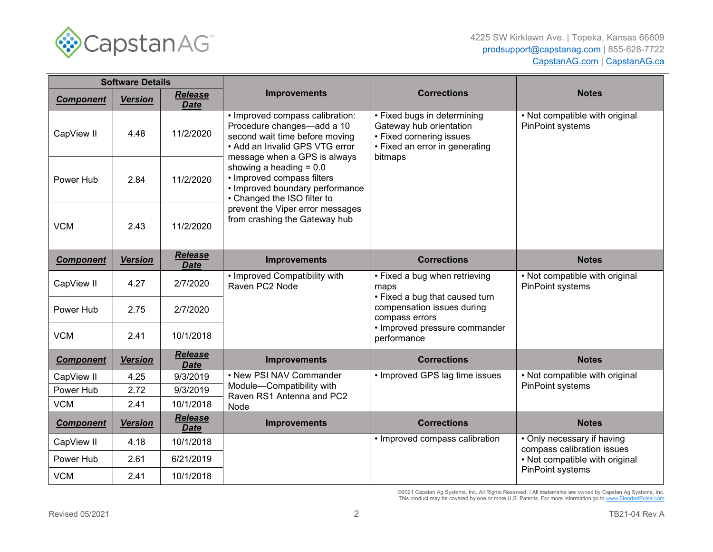

| <b>Software Details</b> |                |                               |                                                                                                                                                                   |                                                                                                                                 |                                                                                  |
|-------------------------|----------------|-------------------------------|-------------------------------------------------------------------------------------------------------------------------------------------------------------------|---------------------------------------------------------------------------------------------------------------------------------|----------------------------------------------------------------------------------|
| <b>Component</b>        | <b>Version</b> | Release<br><b>Date</b>        | <b>Improvements</b>                                                                                                                                               | <b>Corrections</b>                                                                                                              | <b>Notes</b>                                                                     |
| CapView II              | 4.48           | 11/2/2020                     | · Improved compass calibration:<br>Procedure changes-add a 10<br>second wait time before moving<br>• Add an Invalid GPS VTG error<br>message when a GPS is always | • Fixed bugs in determining<br>Gateway hub orientation<br>• Fixed cornering issues<br>• Fixed an error in generating<br>bitmaps | • Not compatible with original<br>PinPoint systems                               |
| Power Hub               | 2.84           | 11/2/2020                     | showing a heading $= 0.0$<br>• Improved compass filters<br>• Improved boundary performance<br>• Changed the ISO filter to                                         |                                                                                                                                 |                                                                                  |
| <b>VCM</b>              | 2.43           | 11/2/2020                     | prevent the Viper error messages<br>from crashing the Gateway hub                                                                                                 |                                                                                                                                 |                                                                                  |
| <b>Component</b>        | <b>Version</b> | Release<br><b>Date</b>        | <b>Improvements</b>                                                                                                                                               | <b>Corrections</b>                                                                                                              | <b>Notes</b>                                                                     |
| CapView II              | 4.27           | 2/7/2020                      | • Improved Compatibility with<br>Raven PC2 Node                                                                                                                   | • Fixed a bug when retrieving<br>maps<br>• Fixed a bug that caused turn                                                         | • Not compatible with original<br>PinPoint systems                               |
| Power Hub               | 2.75           | 2/7/2020                      |                                                                                                                                                                   | compensation issues during<br>compass errors                                                                                    |                                                                                  |
| <b>VCM</b>              | 2.41           | 10/1/2018                     |                                                                                                                                                                   | • Improved pressure commander<br>performance                                                                                    |                                                                                  |
| <b>Component</b>        | <b>Version</b> | <b>Release</b><br><b>Date</b> | <b>Improvements</b>                                                                                                                                               | <b>Corrections</b>                                                                                                              | <b>Notes</b>                                                                     |
| CapView II              | 4.25           | 9/3/2019                      | • New PSI NAV Commander                                                                                                                                           | • Improved GPS lag time issues                                                                                                  | • Not compatible with original                                                   |
| Power Hub               | 2.72           | 9/3/2019                      | Module-Compatibility with<br>Raven RS1 Antenna and PC2                                                                                                            |                                                                                                                                 | PinPoint systems                                                                 |
| <b>VCM</b>              | 2.41           | 10/1/2018                     | Node                                                                                                                                                              |                                                                                                                                 |                                                                                  |
| <b>Component</b>        | <b>Version</b> | Release<br><b>Date</b>        | <b>Improvements</b>                                                                                                                                               | <b>Corrections</b>                                                                                                              | <b>Notes</b>                                                                     |
| CapView II              | 4.18           | 10/1/2018                     |                                                                                                                                                                   | • Improved compass calibration                                                                                                  | • Only necessary if having                                                       |
| Power Hub               | 2.61           | 6/21/2019                     |                                                                                                                                                                   |                                                                                                                                 | compass calibration issues<br>• Not compatible with original<br>PinPoint systems |
| <b>VCM</b>              | 2.41           | 10/1/2018                     |                                                                                                                                                                   |                                                                                                                                 |                                                                                  |

©2021 Capstan Ag Systems, Inc. All Rights Reserved. | All trademarks are owned by Capstan Ag Systems, Inc.<br>This product may be covered by one or more U.S. Patents. For more information go to <u>www.BlendedPulse.com</u>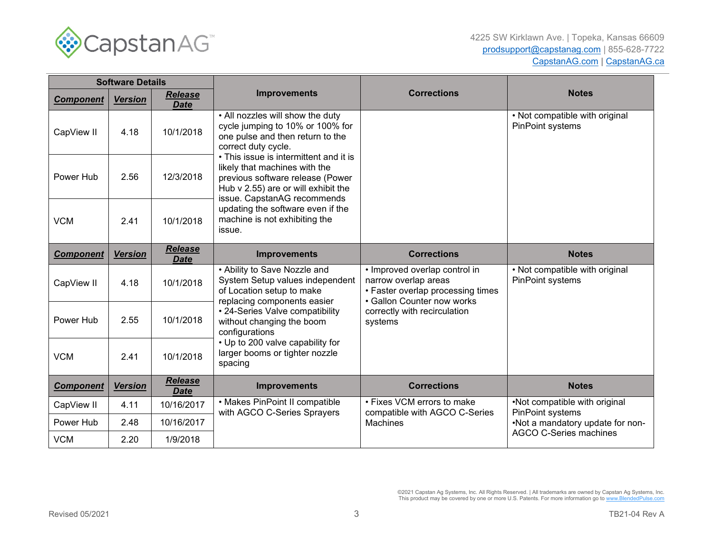

| <b>Software Details</b> |                |                        |                                                                                                                                                                                                                                                                                                                                                                                                      |                                                                                                                          |                                                    |
|-------------------------|----------------|------------------------|------------------------------------------------------------------------------------------------------------------------------------------------------------------------------------------------------------------------------------------------------------------------------------------------------------------------------------------------------------------------------------------------------|--------------------------------------------------------------------------------------------------------------------------|----------------------------------------------------|
| <b>Component</b>        | <b>Version</b> | Release<br><b>Date</b> | <b>Improvements</b>                                                                                                                                                                                                                                                                                                                                                                                  | <b>Corrections</b>                                                                                                       | <b>Notes</b>                                       |
| CapView II              | 4.18           | 10/1/2018              | • All nozzles will show the duty<br>cycle jumping to 10% or 100% for<br>one pulse and then return to the<br>correct duty cycle.<br>• This issue is intermittent and it is<br>likely that machines with the<br>previous software release (Power<br>Hub v 2.55) are or will exhibit the<br>issue. CapstanAG recommends<br>updating the software even if the<br>machine is not exhibiting the<br>issue. |                                                                                                                          | . Not compatible with original<br>PinPoint systems |
| Power Hub               | 2.56           | 12/3/2018              |                                                                                                                                                                                                                                                                                                                                                                                                      |                                                                                                                          |                                                    |
| <b>VCM</b>              | 2.41           | 10/1/2018              |                                                                                                                                                                                                                                                                                                                                                                                                      |                                                                                                                          |                                                    |
| <b>Component</b>        | <b>Version</b> | Release<br><b>Date</b> | <b>Improvements</b>                                                                                                                                                                                                                                                                                                                                                                                  | <b>Corrections</b>                                                                                                       | <b>Notes</b>                                       |
| CapView II              | 4.18           | 10/1/2018              | • Ability to Save Nozzle and<br>System Setup values independent<br>of Location setup to make<br>replacing components easier<br>• 24-Series Valve compatibility<br>without changing the boom<br>configurations<br>• Up to 200 valve capability for<br>larger booms or tighter nozzle<br>spacing                                                                                                       | • Improved overlap control in<br>narrow overlap areas<br>• Faster overlap processing times<br>• Gallon Counter now works | • Not compatible with original<br>PinPoint systems |
| Power Hub               | 2.55           | 10/1/2018              |                                                                                                                                                                                                                                                                                                                                                                                                      | correctly with recirculation<br>systems                                                                                  |                                                    |
| <b>VCM</b>              | 2.41           | 10/1/2018              |                                                                                                                                                                                                                                                                                                                                                                                                      |                                                                                                                          |                                                    |
| <b>Component</b>        | <b>Version</b> | Release<br><b>Date</b> | <b>Improvements</b>                                                                                                                                                                                                                                                                                                                                                                                  | <b>Corrections</b>                                                                                                       | <b>Notes</b>                                       |
| CapView II              | 4.11           | 10/16/2017             | • Makes PinPoint II compatible<br>with AGCO C-Series Sprayers                                                                                                                                                                                                                                                                                                                                        | • Fixes VCM errors to make<br>compatible with AGCO C-Series                                                              | •Not compatible with original<br>PinPoint systems  |
| Power Hub               | 2.48           | 10/16/2017             |                                                                                                                                                                                                                                                                                                                                                                                                      | <b>Machines</b>                                                                                                          | .Not a mandatory update for non-                   |
| <b>VCM</b>              | 2.20           | 1/9/2018               |                                                                                                                                                                                                                                                                                                                                                                                                      |                                                                                                                          | <b>AGCO C-Series machines</b>                      |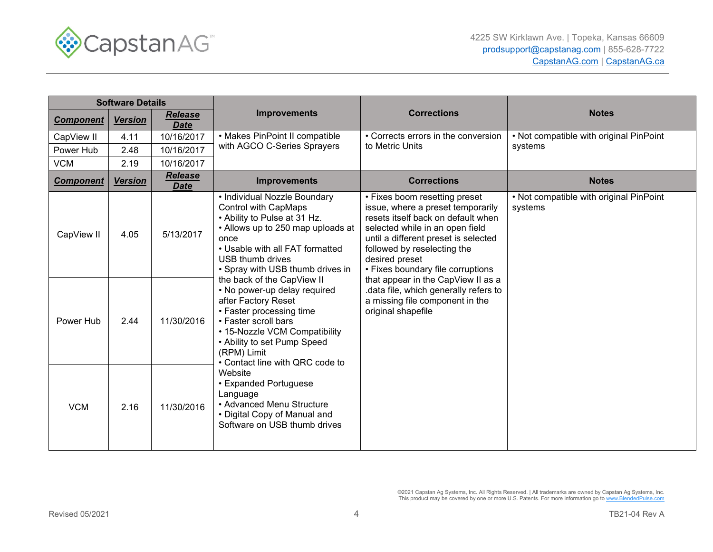

| <b>Software Details</b> |                |                               |                                                                                                                                                                                                                                                                                                                                                                                                                                                                                                                                                                                                                                                    |                                                                                                                                                                                                                                                                                                                                                                                                                  |                                                    |
|-------------------------|----------------|-------------------------------|----------------------------------------------------------------------------------------------------------------------------------------------------------------------------------------------------------------------------------------------------------------------------------------------------------------------------------------------------------------------------------------------------------------------------------------------------------------------------------------------------------------------------------------------------------------------------------------------------------------------------------------------------|------------------------------------------------------------------------------------------------------------------------------------------------------------------------------------------------------------------------------------------------------------------------------------------------------------------------------------------------------------------------------------------------------------------|----------------------------------------------------|
| <b>Component</b>        | <b>Version</b> | <b>Release</b><br><b>Date</b> | <b>Improvements</b>                                                                                                                                                                                                                                                                                                                                                                                                                                                                                                                                                                                                                                | <b>Corrections</b>                                                                                                                                                                                                                                                                                                                                                                                               | <b>Notes</b>                                       |
| CapView II              | 4.11           | 10/16/2017                    | • Makes PinPoint II compatible                                                                                                                                                                                                                                                                                                                                                                                                                                                                                                                                                                                                                     | • Corrects errors in the conversion                                                                                                                                                                                                                                                                                                                                                                              | . Not compatible with original PinPoint            |
| Power Hub               | 2.48           | 10/16/2017                    | with AGCO C-Series Sprayers                                                                                                                                                                                                                                                                                                                                                                                                                                                                                                                                                                                                                        | to Metric Units                                                                                                                                                                                                                                                                                                                                                                                                  | systems                                            |
| <b>VCM</b>              | 2.19           | 10/16/2017                    |                                                                                                                                                                                                                                                                                                                                                                                                                                                                                                                                                                                                                                                    |                                                                                                                                                                                                                                                                                                                                                                                                                  |                                                    |
| <b>Component</b>        | <u>Version</u> | <b>Release</b><br><b>Date</b> | <b>Improvements</b>                                                                                                                                                                                                                                                                                                                                                                                                                                                                                                                                                                                                                                | <b>Corrections</b>                                                                                                                                                                                                                                                                                                                                                                                               | <b>Notes</b>                                       |
| CapView II              | 4.05           | 5/13/2017                     | • Individual Nozzle Boundary<br><b>Control with CapMaps</b><br>• Ability to Pulse at 31 Hz.<br>• Allows up to 250 map uploads at<br>once<br>• Usable with all FAT formatted<br><b>USB thumb drives</b><br>• Spray with USB thumb drives in<br>the back of the CapView II<br>• No power-up delay required<br>after Factory Reset<br>• Faster processing time<br>• Faster scroll bars<br>• 15-Nozzle VCM Compatibility<br>• Ability to set Pump Speed<br>(RPM) Limit<br>• Contact line with QRC code to<br>Website<br>• Expanded Portuguese<br>Language<br>• Advanced Menu Structure<br>• Digital Copy of Manual and<br>Software on USB thumb drives | • Fixes boom resetting preset<br>issue, where a preset temporarily<br>resets itself back on default when<br>selected while in an open field<br>until a different preset is selected<br>followed by reselecting the<br>desired preset<br>• Fixes boundary file corruptions<br>that appear in the CapView II as a<br>data file, which generally refers to<br>a missing file component in the<br>original shapefile | . Not compatible with original PinPoint<br>systems |
| Power Hub               | 2.44           | 11/30/2016                    |                                                                                                                                                                                                                                                                                                                                                                                                                                                                                                                                                                                                                                                    |                                                                                                                                                                                                                                                                                                                                                                                                                  |                                                    |
| <b>VCM</b>              | 2.16           | 11/30/2016                    |                                                                                                                                                                                                                                                                                                                                                                                                                                                                                                                                                                                                                                                    |                                                                                                                                                                                                                                                                                                                                                                                                                  |                                                    |